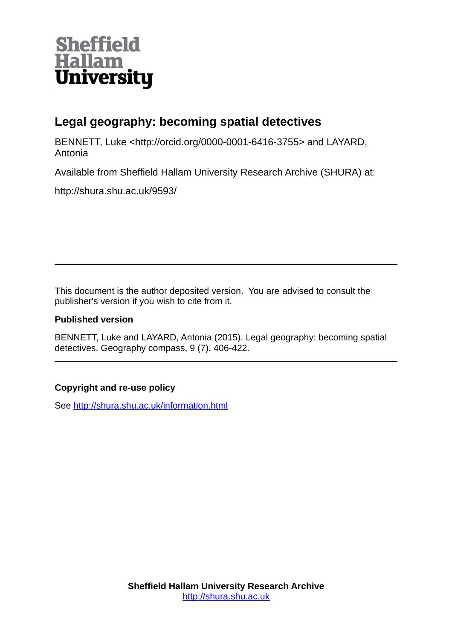

## **Legal geography: becoming spatial detectives**

BENNETT, Luke <http://orcid.org/0000-0001-6416-3755> and LAYARD, Antonia

Available from Sheffield Hallam University Research Archive (SHURA) at:

http://shura.shu.ac.uk/9593/

This document is the author deposited version. You are advised to consult the publisher's version if you wish to cite from it.

## **Published version**

BENNETT, Luke and LAYARD, Antonia (2015). Legal geography: becoming spatial detectives. Geography compass, 9 (7), 406-422.

## **Copyright and re-use policy**

See<http://shura.shu.ac.uk/information.html>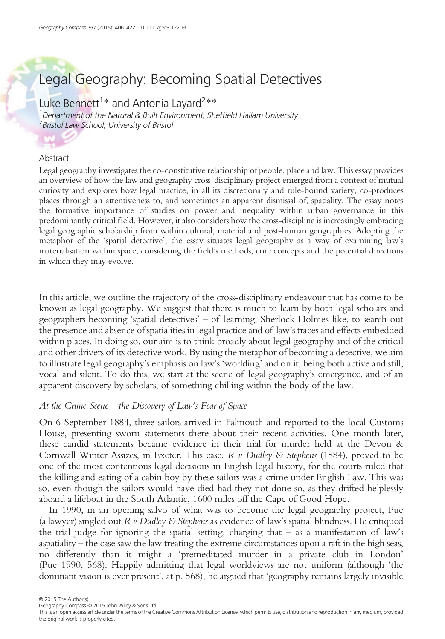# Legal Geography: Becoming Spatial Detectives

Luke Bennett<sup>1\*</sup> and Antonia Layard<sup>2\*\*</sup>

<sup>1</sup>Department of the Natural & Built Environment, Sheffield Hallam University<br><sup>2</sup>Bristol Law School, University of Bristol <sup>2</sup> Bristol Law School, University of Bristol

#### Abstract

Legal geography investigates the co-constitutive relationship of people, place and law. This essay provides an overview of how the law and geography cross-disciplinary project emerged from a context of mutual curiosity and explores how legal practice, in all its discretionary and rule-bound variety, co-produces places through an attentiveness to, and sometimes an apparent dismissal of, spatiality. The essay notes the formative importance of studies on power and inequality within urban governance in this predominantly critical field. However, it also considers how the cross-discipline is increasingly embracing legal geographic scholarship from within cultural, material and post-human geographies. Adopting the metaphor of the 'spatial detective', the essay situates legal geography as a way of examining law's materialisation within space, considering the field's methods, core concepts and the potential directions in which they may evolve.

In this article, we outline the trajectory of the cross-disciplinary endeavour that has come to be known as legal geography. We suggest that there is much to learn by both legal scholars and geographers becoming 'spatial detectives' – of learning, Sherlock Holmes-like, to search out the presence and absence of spatialities in legal practice and of law's traces and effects embedded within places. In doing so, our aim is to think broadly about legal geography and of the critical and other drivers of its detective work. By using the metaphor of becoming a detective, we aim to illustrate legal geography's emphasis on law's 'worlding' and on it, being both active and still, vocal and silent. To do this, we start at the scene of legal geography's emergence, and of an apparent discovery by scholars, of something chilling within the body of the law.

## At the Crime Scene – the Discovery of Law's Fear of Space

On 6 September 1884, three sailors arrived in Falmouth and reported to the local Customs House, presenting sworn statements there about their recent activities. One month later, these candid statements became evidence in their trial for murder held at the Devon & Cornwall Winter Assizes, in Exeter. This case, R v Dudley & Stephens (1884), proved to be one of the most contentious legal decisions in English legal history, for the courts ruled that the killing and eating of a cabin boy by these sailors was a crime under English Law. This was so, even though the sailors would have died had they not done so, as they drifted helplessly aboard a lifeboat in the South Atlantic, 1600 miles off the Cape of Good Hope.

In 1990, in an opening salvo of what was to become the legal geography project, Pue (a lawyer) singled out  $R \nu Dudley \&$  Stephens as evidence of law's spatial blindness. He critiqued the trial judge for ignoring the spatial setting, charging that  $-$  as a manifestation of law's aspatiality – the case saw the law treating the extreme circumstances upon a raft in the high seas, no differently than it might a 'premeditated murder in a private club in London' (Pue 1990, 568). Happily admitting that legal worldviews are not uniform (although 'the dominant vision is ever present', at p. 568), he argued that 'geography remains largely invisible

Geography Compass © 2015 John Wiley & Sons Ltd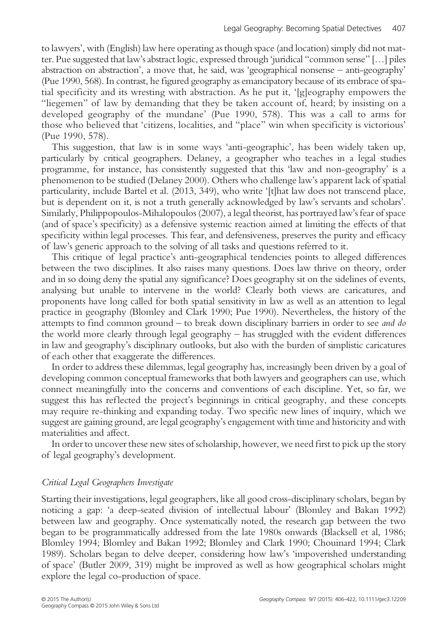to lawyers', with (English) law here operating as though space (and location) simply did not matter. Pue suggested that law's abstract logic, expressed through 'juridical "common sense" […] piles abstraction on abstraction', a move that, he said, was 'geographical nonsense – anti-geography' (Pue 1990, 568). In contrast, he figured geography as emancipatory because of its embrace of spatial specificity and its wresting with abstraction. As he put it, '[g]eography empowers the "liegemen" of law by demanding that they be taken account of, heard; by insisting on a developed geography of the mundane' (Pue 1990, 578). This was a call to arms for those who believed that 'citizens, localities, and "place" win when specificity is victorious' (Pue 1990, 578).

This suggestion, that law is in some ways 'anti-geographic', has been widely taken up, particularly by critical geographers. Delaney, a geographer who teaches in a legal studies programme, for instance, has consistently suggested that this 'law and non-geography' is a phenomenon to be studied (Delaney 2000). Others who challenge law's apparent lack of spatial particularity, include Bartel et al. (2013, 349), who write '[t]hat law does not transcend place, but is dependent on it, is not a truth generally acknowledged by law's servants and scholars'. Similarly, Philippopoulos-Mihalopoulos (2007), a legal theorist, has portrayed law's fear of space (and of space's specificity) as a defensive systemic reaction aimed at limiting the effects of that specificity within legal processes. This fear, and defensiveness, preserves the purity and efficacy of law's generic approach to the solving of all tasks and questions referred to it.

This critique of legal practice's anti-geographical tendencies points to alleged differences between the two disciplines. It also raises many questions. Does law thrive on theory, order and in so doing deny the spatial any significance? Does geography sit on the sidelines of events, analysing but unable to intervene in the world? Clearly both views are caricatures, and proponents have long called for both spatial sensitivity in law as well as an attention to legal practice in geography (Blomley and Clark 1990; Pue 1990). Nevertheless, the history of the attempts to find common ground – to break down disciplinary barriers in order to see and do the world more clearly through legal geography – has struggled with the evident differences in law and geography's disciplinary outlooks, but also with the burden of simplistic caricatures of each other that exaggerate the differences.

In order to address these dilemmas, legal geography has, increasingly been driven by a goal of developing common conceptual frameworks that both lawyers and geographers can use, which connect meaningfully into the concerns and conventions of each discipline. Yet, so far, we suggest this has reflected the project's beginnings in critical geography, and these concepts may require re-thinking and expanding today. Two specific new lines of inquiry, which we suggest are gaining ground, are legal geography's engagement with time and historicity and with materialities and affect.

In order to uncover these new sites of scholarship, however, we need first to pick up the story of legal geography's development.

## Critical Legal Geographers Investigate

Starting their investigations, legal geographers, like all good cross-disciplinary scholars, began by noticing a gap: 'a deep-seated division of intellectual labour' (Blomley and Bakan 1992) between law and geography. Once systematically noted, the research gap between the two began to be programmatically addressed from the late 1980s onwards (Blacksell et al, 1986; Blomley 1994; Blomley and Bakan 1992; Blomley and Clark 1990; Chouinard 1994; Clark 1989). Scholars began to delve deeper, considering how law's 'impoverished understanding of space' (Butler 2009, 319) might be improved as well as how geographical scholars might explore the legal co-production of space.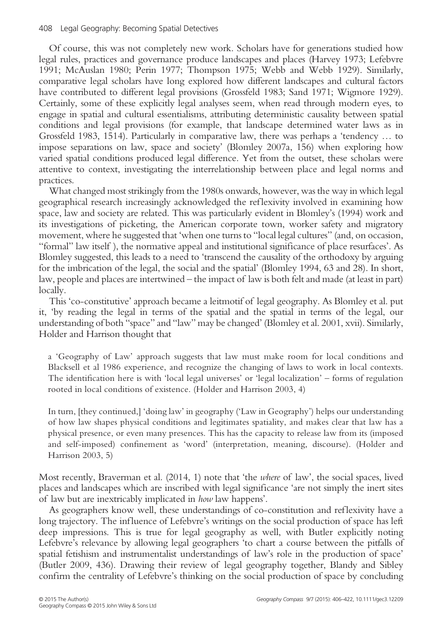Of course, this was not completely new work. Scholars have for generations studied how legal rules, practices and governance produce landscapes and places (Harvey 1973; Lefebvre 1991; McAuslan 1980; Perin 1977; Thompson 1975; Webb and Webb 1929). Similarly, comparative legal scholars have long explored how different landscapes and cultural factors have contributed to different legal provisions (Grossfeld 1983; Sand 1971; Wigmore 1929). Certainly, some of these explicitly legal analyses seem, when read through modern eyes, to engage in spatial and cultural essentialisms, attributing deterministic causality between spatial conditions and legal provisions (for example, that landscape determined water laws as in Grossfeld 1983, 1514). Particularly in comparative law, there was perhaps a 'tendency … to impose separations on law, space and society' (Blomley 2007a, 156) when exploring how varied spatial conditions produced legal difference. Yet from the outset, these scholars were attentive to context, investigating the interrelationship between place and legal norms and practices.

What changed most strikingly from the 1980s onwards, however, was the way in which legal geographical research increasingly acknowledged the ref lexivity involved in examining how space, law and society are related. This was particularly evident in Blomley's (1994) work and its investigations of picketing, the American corporate town, worker safety and migratory movement, where he suggested that 'when one turns to "local legal cultures" (and, on occasion, "formal" law itself ), the normative appeal and institutional significance of place resurfaces'. As Blomley suggested, this leads to a need to 'transcend the causality of the orthodoxy by arguing for the imbrication of the legal, the social and the spatial' (Blomley 1994, 63 and 28). In short, law, people and places are intertwined – the impact of law is both felt and made (at least in part) locally.

This 'co-constitutive' approach became a leitmotif of legal geography. As Blomley et al. put it, 'by reading the legal in terms of the spatial and the spatial in terms of the legal, our understanding of both "space" and "law" may be changed' (Blomley et al. 2001, xvii). Similarly, Holder and Harrison thought that

a 'Geography of Law' approach suggests that law must make room for local conditions and Blacksell et al 1986 experience, and recognize the changing of laws to work in local contexts. The identification here is with 'local legal universes' or 'legal localization' – forms of regulation rooted in local conditions of existence. (Holder and Harrison 2003, 4)

In turn, [they continued,] 'doing law' in geography ('Law in Geography') helps our understanding of how law shapes physical conditions and legitimates spatiality, and makes clear that law has a physical presence, or even many presences. This has the capacity to release law from its (imposed and self-imposed) confinement as 'word' (interpretation, meaning, discourse). (Holder and Harrison 2003, 5)

Most recently, Braverman et al. (2014, 1) note that 'the where of law', the social spaces, lived places and landscapes which are inscribed with legal significance 'are not simply the inert sites of law but are inextricably implicated in how law happens'.

As geographers know well, these understandings of co-constitution and reflexivity have a long trajectory. The influence of Lefebvre's writings on the social production of space has left deep impressions. This is true for legal geography as well, with Butler explicitly noting Lefebvre's relevance by allowing legal geographers 'to chart a course between the pitfalls of spatial fetishism and instrumentalist understandings of law's role in the production of space' (Butler 2009, 436). Drawing their review of legal geography together, Blandy and Sibley confirm the centrality of Lefebvre's thinking on the social production of space by concluding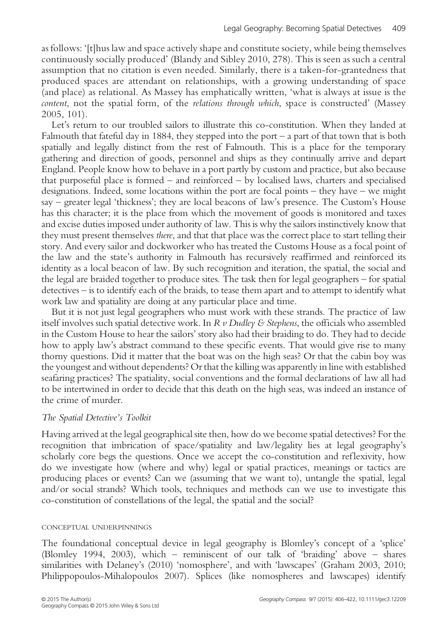as follows: '[t]hus law and space actively shape and constitute society, while being themselves continuously socially produced' (Blandy and Sibley 2010, 278). This is seen as such a central assumption that no citation is even needed. Similarly, there is a taken-for-grantedness that produced spaces are attendant on relationships, with a growing understanding of space (and place) as relational. As Massey has emphatically written, 'what is always at issue is the content, not the spatial form, of the relations through which, space is constructed' (Massey 2005, 101).

Let's return to our troubled sailors to illustrate this co-constitution. When they landed at Falmouth that fateful day in 1884, they stepped into the port  $-$  a part of that town that is both spatially and legally distinct from the rest of Falmouth. This is a place for the temporary gathering and direction of goods, personnel and ships as they continually arrive and depart England. People know how to behave in a port partly by custom and practice, but also because that purposeful place is formed – and reinforced – by localised laws, charters and specialised designations. Indeed, some locations within the port are focal points – they have – we might say – greater legal 'thickness'; they are local beacons of law's presence. The Custom's House has this character; it is the place from which the movement of goods is monitored and taxes and excise duties imposed under authority of law. This is why the sailors instinctively know that they must present themselves there, and that that place was the correct place to start telling their story. And every sailor and dockworker who has treated the Customs House as a focal point of the law and the state's authority in Falmouth has recursively reaffirmed and reinforced its identity as a local beacon of law. By such recognition and iteration, the spatial, the social and the legal are braided together to produce sites. The task then for legal geographers – for spatial detectives – is to identify each of the braids, to tease them apart and to attempt to identify what work law and spatiality are doing at any particular place and time.

But it is not just legal geographers who must work with these strands. The practice of law itself involves such spatial detective work. In  $R \nu D$ udley & Stephens, the officials who assembled in the Custom House to hear the sailors' story also had their braiding to do. They had to decide how to apply law's abstract command to these specific events. That would give rise to many thorny questions. Did it matter that the boat was on the high seas? Or that the cabin boy was the youngest and without dependents? Or that the killing was apparently in line with established seafaring practices? The spatiality, social conventions and the formal declarations of law all had to be intertwined in order to decide that this death on the high seas, was indeed an instance of the crime of murder.

## The Spatial Detective's Toolkit

Having arrived at the legal geographical site then, how do we become spatial detectives? For the recognition that imbrication of space/spatiality and law/legality lies at legal geography's scholarly core begs the questions. Once we accept the co-constitution and reflexivity, how do we investigate how (where and why) legal or spatial practices, meanings or tactics are producing places or events? Can we (assuming that we want to), untangle the spatial, legal and/or social strands? Which tools, techniques and methods can we use to investigate this co-constitution of constellations of the legal, the spatial and the social?

#### CONCEPTUAL UNDERPINNINGS

The foundational conceptual device in legal geography is Blomley's concept of a 'splice' (Blomley 1994, 2003), which – reminiscent of our talk of 'braiding' above – shares similarities with Delaney's (2010) 'nomosphere', and with 'lawscapes' (Graham 2003, 2010; Philippopoulos-Mihalopoulos 2007). Splices (like nomospheres and lawscapes) identify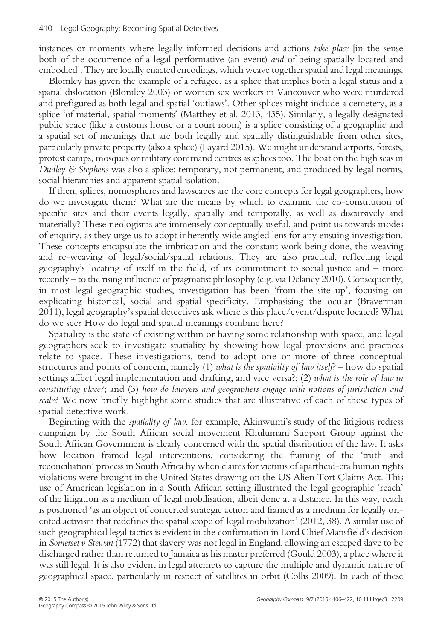instances or moments where legally informed decisions and actions take place [in the sense both of the occurrence of a legal performative (an event) and of being spatially located and embodied]. They are locally enacted encodings, which weave together spatial and legal meanings.

Blomley has given the example of a refugee, as a splice that implies both a legal status and a spatial dislocation (Blomley 2003) or women sex workers in Vancouver who were murdered and prefigured as both legal and spatial 'outlaws'. Other splices might include a cemetery, as a splice 'of material, spatial moments' (Matthey et al. 2013, 435). Similarly, a legally designated public space (like a customs house or a court room) is a splice consisting of a geographic and a spatial set of meanings that are both legally and spatially distinguishable from other sites, particularly private property (also a splice) (Layard 2015). We might understand airports, forests, protest camps, mosques or military command centres as splices too. The boat on the high seas in Dudley & Stephens was also a splice: temporary, not permanent, and produced by legal norms, social hierarchies and apparent spatial isolation.

If then, splices, nomospheres and lawscapes are the core concepts for legal geographers, how do we investigate them? What are the means by which to examine the co-constitution of specific sites and their events legally, spatially and temporally, as well as discursively and materially? These neologisms are immensely conceptually useful, and point us towards modes of enquiry, as they urge us to adopt inherently wide angled lens for any ensuing investigation. These concepts encapsulate the imbrication and the constant work being done, the weaving and re-weaving of legal/social/spatial relations. They are also practical, reflecting legal geography's locating of itself in the field, of its commitment to social justice and – more recently – to the rising inf luence of pragmatist philosophy (e.g. via Delaney 2010). Consequently, in most legal geographic studies, investigation has been 'from the site up', focusing on explicating historical, social and spatial specificity. Emphasising the ocular (Braverman 2011), legal geography's spatial detectives ask where is this place/event/dispute located? What do we see? How do legal and spatial meanings combine here?

Spatiality is the state of existing within or having some relationship with space, and legal geographers seek to investigate spatiality by showing how legal provisions and practices relate to space. These investigations, tend to adopt one or more of three conceptual structures and points of concern, namely (1) what is the spatiality of law itself?  $-$  how do spatial settings affect legal implementation and drafting, and vice versa?; (2) what is the role of law in constituting place?; and (3) how do lawyers and geographers engage with notions of jurisdiction and scale? We now briefly highlight some studies that are illustrative of each of these types of spatial detective work.

Beginning with the spatiality of law, for example, Akinwumi's study of the litigious redress campaign by the South African social movement Khulumani Support Group against the South African Government is clearly concerned with the spatial distribution of the law. It asks how location framed legal interventions, considering the framing of the 'truth and reconciliation' process in South Africa by when claims for victims of apartheid-era human rights violations were brought in the United States drawing on the US Alien Tort Claims Act. This use of American legislation in a South African setting illustrated the legal geographic 'reach' of the litigation as a medium of legal mobilisation, albeit done at a distance. In this way, reach is positioned 'as an object of concerted strategic action and framed as a medium for legally oriented activism that redefines the spatial scope of legal mobilization' (2012, 38). A similar use of such geographical legal tactics is evident in the confirmation in Lord Chief Mansfield's decision in Somerset v Stewart (1772) that slavery was not legal in England, allowing an escaped slave to be discharged rather than returned to Jamaica as his master preferred (Gould 2003), a place where it was still legal. It is also evident in legal attempts to capture the multiple and dynamic nature of geographical space, particularly in respect of satellites in orbit (Collis 2009). In each of these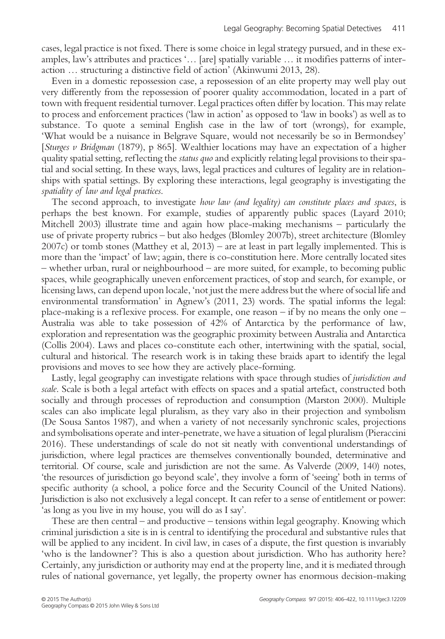cases, legal practice is not fixed. There is some choice in legal strategy pursued, and in these examples, law's attributes and practices '… [are] spatially variable … it modifies patterns of interaction … structuring a distinctive field of action' (Akinwumi 2013, 28).

Even in a domestic repossession case, a repossession of an elite property may well play out very differently from the repossession of poorer quality accommodation, located in a part of town with frequent residential turnover. Legal practices often differ by location. This may relate to process and enforcement practices ('law in action' as opposed to 'law in books') as well as to substance. To quote a seminal English case in the law of tort (wrongs), for example, 'What would be a nuisance in Belgrave Square, would not necessarily be so in Bermondsey' [Sturges v Bridgman (1879), p 865]. Wealthier locations may have an expectation of a higher quality spatial setting, reflecting the status quo and explicitly relating legal provisions to their spatial and social setting. In these ways, laws, legal practices and cultures of legality are in relationships with spatial settings. By exploring these interactions, legal geography is investigating the spatiality of law and legal practices.

The second approach, to investigate how law (and legality) can constitute places and spaces, is perhaps the best known. For example, studies of apparently public spaces (Layard 2010; Mitchell 2003) illustrate time and again how place-making mechanisms – particularly the use of private property rubrics – but also hedges (Blomley 2007b), street architecture (Blomley 2007c) or tomb stones (Matthey et al, 2013) – are at least in part legally implemented. This is more than the 'impact' of law; again, there is co-constitution here. More centrally located sites – whether urban, rural or neighbourhood – are more suited, for example, to becoming public spaces, while geographically uneven enforcement practices, of stop and search, for example, or licensing laws, can depend upon locale, 'not just the mere address but the where of social life and environmental transformation' in Agnew's (2011, 23) words. The spatial informs the legal: place-making is a reflexive process. For example, one reason  $-$  if by no means the only one  $-$ Australia was able to take possession of 42% of Antarctica by the performance of law, exploration and representation was the geographic proximity between Australia and Antarctica (Collis 2004). Laws and places co-constitute each other, intertwining with the spatial, social, cultural and historical. The research work is in taking these braids apart to identify the legal provisions and moves to see how they are actively place-forming.

Lastly, legal geography can investigate relations with space through studies of jurisdiction and scale. Scale is both a legal artefact with effects on spaces and a spatial artefact, constructed both socially and through processes of reproduction and consumption (Marston 2000). Multiple scales can also implicate legal pluralism, as they vary also in their projection and symbolism (De Sousa Santos 1987), and when a variety of not necessarily synchronic scales, projections and symbolisations operate and inter-penetrate, we have a situation of legal pluralism (Pieraccini 2016). These understandings of scale do not sit neatly with conventional understandings of jurisdiction, where legal practices are themselves conventionally bounded, determinative and territorial. Of course, scale and jurisdiction are not the same. As Valverde (2009, 140) notes, 'the resources of jurisdiction go beyond scale', they involve a form of 'seeing' both in terms of specific authority (a school, a police force and the Security Council of the United Nations). Jurisdiction is also not exclusively a legal concept. It can refer to a sense of entitlement or power: 'as long as you live in my house, you will do as I say'.

These are then central – and productive – tensions within legal geography. Knowing which criminal jurisdiction a site is in is central to identifying the procedural and substantive rules that will be applied to any incident. In civil law, in cases of a dispute, the first question is invariably 'who is the landowner'? This is also a question about jurisdiction. Who has authority here? Certainly, any jurisdiction or authority may end at the property line, and it is mediated through rules of national governance, yet legally, the property owner has enormous decision-making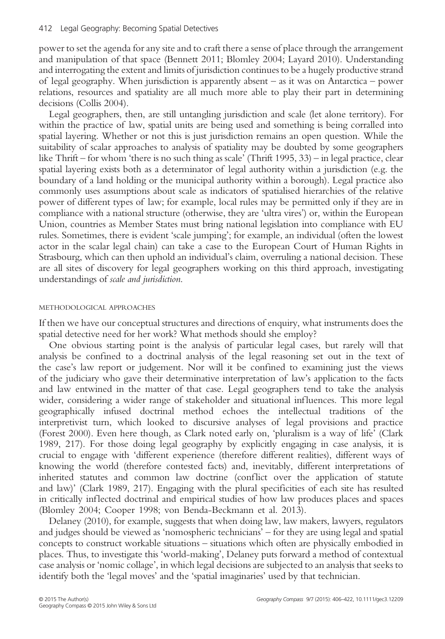power to set the agenda for any site and to craft there a sense of place through the arrangement and manipulation of that space (Bennett 2011; Blomley 2004; Layard 2010). Understanding and interrogating the extent and limits of jurisdiction continues to be a hugely productive strand of legal geography. When jurisdiction is apparently absent – as it was on Antarctica – power relations, resources and spatiality are all much more able to play their part in determining decisions (Collis 2004).

Legal geographers, then, are still untangling jurisdiction and scale (let alone territory). For within the practice of law, spatial units are being used and something is being corralled into spatial layering. Whether or not this is just jurisdiction remains an open question. While the suitability of scalar approaches to analysis of spatiality may be doubted by some geographers like Thrift – for whom 'there is no such thing as scale' (Thrift 1995, 33) – in legal practice, clear spatial layering exists both as a determinator of legal authority within a jurisdiction (e.g. the boundary of a land holding or the municipal authority within a borough). Legal practice also commonly uses assumptions about scale as indicators of spatialised hierarchies of the relative power of different types of law; for example, local rules may be permitted only if they are in compliance with a national structure (otherwise, they are 'ultra vires') or, within the European Union, countries as Member States must bring national legislation into compliance with EU rules. Sometimes, there is evident 'scale jumping'; for example, an individual (often the lowest actor in the scalar legal chain) can take a case to the European Court of Human Rights in Strasbourg, which can then uphold an individual's claim, overruling a national decision. These are all sites of discovery for legal geographers working on this third approach, investigating understandings of scale and jurisdiction.

#### METHODOLOGICAL APPROACHES

If then we have our conceptual structures and directions of enquiry, what instruments does the spatial detective need for her work? What methods should she employ?

One obvious starting point is the analysis of particular legal cases, but rarely will that analysis be confined to a doctrinal analysis of the legal reasoning set out in the text of the case's law report or judgement. Nor will it be confined to examining just the views of the judiciary who gave their determinative interpretation of law's application to the facts and law entwined in the matter of that case. Legal geographers tend to take the analysis wider, considering a wider range of stakeholder and situational influences. This more legal geographically infused doctrinal method echoes the intellectual traditions of the interpretivist turn, which looked to discursive analyses of legal provisions and practice (Forest 2000). Even here though, as Clark noted early on, 'pluralism is a way of life' (Clark 1989, 217). For those doing legal geography by explicitly engaging in case analysis, it is crucial to engage with 'different experience (therefore different realities), different ways of knowing the world (therefore contested facts) and, inevitably, different interpretations of inherited statutes and common law doctrine (conflict over the application of statute and law)' (Clark 1989, 217). Engaging with the plural specificities of each site has resulted in critically inf lected doctrinal and empirical studies of how law produces places and spaces (Blomley 2004; Cooper 1998; von Benda-Beckmann et al. 2013).

Delaney (2010), for example, suggests that when doing law, law makers, lawyers, regulators and judges should be viewed as 'nomospheric technicians' – for they are using legal and spatial concepts to construct workable situations – situations which often are physically embodied in places. Thus, to investigate this 'world-making', Delaney puts forward a method of contextual case analysis or 'nomic collage', in which legal decisions are subjected to an analysis that seeks to identify both the 'legal moves' and the 'spatial imaginaries' used by that technician.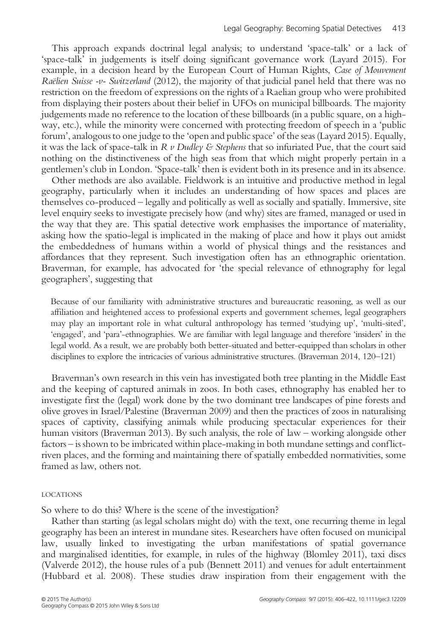This approach expands doctrinal legal analysis; to understand 'space-talk' or a lack of 'space-talk' in judgements is itself doing significant governance work (Layard 2015). For example, in a decision heard by the European Court of Human Rights, Case of Mouvement Raëlien Suisse -v- Switzerland (2012), the majority of that judicial panel held that there was no restriction on the freedom of expressions on the rights of a Raelian group who were prohibited from displaying their posters about their belief in UFOs on municipal billboards. The majority judgements made no reference to the location of these billboards (in a public square, on a highway, etc.), while the minority were concerned with protecting freedom of speech in a 'public forum', analogous to one judge to the 'open and public space' of the seas (Layard 2015). Equally, it was the lack of space-talk in  $R \nu$  Dudley & Stephens that so infuriated Pue, that the court said nothing on the distinctiveness of the high seas from that which might properly pertain in a gentlemen's club in London. 'Space-talk' then is evident both in its presence and in its absence.

Other methods are also available. Fieldwork is an intuitive and productive method in legal geography, particularly when it includes an understanding of how spaces and places are themselves co-produced – legally and politically as well as socially and spatially. Immersive, site level enquiry seeks to investigate precisely how (and why) sites are framed, managed or used in the way that they are. This spatial detective work emphasises the importance of materiality, asking how the spatio-legal is implicated in the making of place and how it plays out amidst the embeddedness of humans within a world of physical things and the resistances and affordances that they represent. Such investigation often has an ethnographic orientation. Braverman, for example, has advocated for 'the special relevance of ethnography for legal geographers', suggesting that

Because of our familiarity with administrative structures and bureaucratic reasoning, as well as our affiliation and heightened access to professional experts and government schemes, legal geographers may play an important role in what cultural anthropology has termed 'studying up', 'multi-sited', 'engaged', and 'para'-ethnographies. We are familiar with legal language and therefore 'insiders' in the legal world. As a result, we are probably both better-situated and better-equipped than scholars in other disciplines to explore the intricacies of various administrative structures. (Braverman 2014, 120–121)

Braverman's own research in this vein has investigated both tree planting in the Middle East and the keeping of captured animals in zoos. In both cases, ethnography has enabled her to investigate first the (legal) work done by the two dominant tree landscapes of pine forests and olive groves in Israel/Palestine (Braverman 2009) and then the practices of zoos in naturalising spaces of captivity, classifying animals while producing spectacular experiences for their human visitors (Braverman 2013). By such analysis, the role of law – working alongside other factors – is shown to be imbricated within place-making in both mundane settings and conflictriven places, and the forming and maintaining there of spatially embedded normativities, some framed as law, others not.

#### LOCATIONS

So where to do this? Where is the scene of the investigation?

Rather than starting (as legal scholars might do) with the text, one recurring theme in legal geography has been an interest in mundane sites. Researchers have often focused on municipal law, usually linked to investigating the urban manifestations of spatial governance and marginalised identities, for example, in rules of the highway (Blomley 2011), taxi discs (Valverde 2012), the house rules of a pub (Bennett 2011) and venues for adult entertainment (Hubbard et al. 2008). These studies draw inspiration from their engagement with the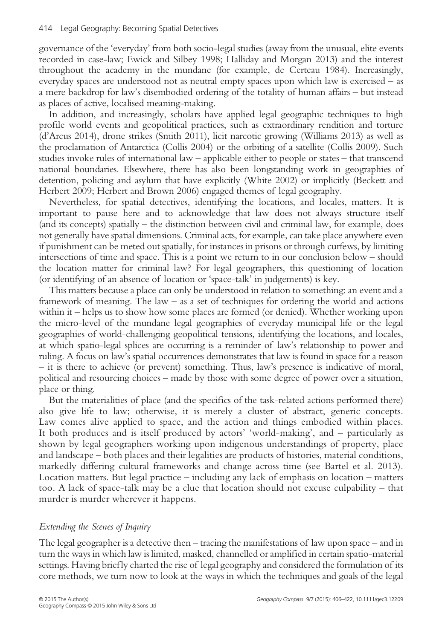governance of the 'everyday' from both socio-legal studies (away from the unusual, elite events recorded in case-law; Ewick and Silbey 1998; Halliday and Morgan 2013) and the interest throughout the academy in the mundane (for example, de Certeau 1984). Increasingly, everyday spaces are understood not as neutral empty spaces upon which law is exercised – as a mere backdrop for law's disembodied ordering of the totality of human affairs – but instead as places of active, localised meaning-making.

In addition, and increasingly, scholars have applied legal geographic techniques to high profile world events and geopolitical practices, such as extraordinary rendition and torture (d'Arcus 2014), drone strikes (Smith 2011), licit narcotic growing (Williams 2013) as well as the proclamation of Antarctica (Collis 2004) or the orbiting of a satellite (Collis 2009). Such studies invoke rules of international law – applicable either to people or states – that transcend national boundaries. Elsewhere, there has also been longstanding work in geographies of detention, policing and asylum that have explicitly (White 2002) or implicitly (Beckett and Herbert 2009; Herbert and Brown 2006) engaged themes of legal geography.

Nevertheless, for spatial detectives, identifying the locations, and locales, matters. It is important to pause here and to acknowledge that law does not always structure itself (and its concepts) spatially – the distinction between civil and criminal law, for example, does not generally have spatial dimensions. Criminal acts, for example, can take place anywhere even if punishment can be meted out spatially, for instances in prisons or through curfews, by limiting intersections of time and space. This is a point we return to in our conclusion below – should the location matter for criminal law? For legal geographers, this questioning of location (or identifying of an absence of location or 'space-talk' in judgements) is key.

This matters because a place can only be understood in relation to something: an event and a framework of meaning. The law – as a set of techniques for ordering the world and actions within it – helps us to show how some places are formed (or denied). Whether working upon the micro-level of the mundane legal geographies of everyday municipal life or the legal geographies of world-challenging geopolitical tensions, identifying the locations, and locales, at which spatio-legal splices are occurring is a reminder of law's relationship to power and ruling. A focus on law's spatial occurrences demonstrates that law is found in space for a reason – it is there to achieve (or prevent) something. Thus, law's presence is indicative of moral, political and resourcing choices – made by those with some degree of power over a situation, place or thing.

But the materialities of place (and the specifics of the task-related actions performed there) also give life to law; otherwise, it is merely a cluster of abstract, generic concepts. Law comes alive applied to space, and the action and things embodied within places. It both produces and is itself produced by actors' 'world-making', and – particularly as shown by legal geographers working upon indigenous understandings of property, place and landscape – both places and their legalities are products of histories, material conditions, markedly differing cultural frameworks and change across time (see Bartel et al. 2013). Location matters. But legal practice – including any lack of emphasis on location – matters too. A lack of space-talk may be a clue that location should not excuse culpability – that murder is murder wherever it happens.

## Extending the Scenes of Inquiry

The legal geographer is a detective then – tracing the manifestations of law upon space – and in turn the ways in which law is limited, masked, channelled or amplified in certain spatio-material settings. Having briefly charted the rise of legal geography and considered the formulation of its core methods, we turn now to look at the ways in which the techniques and goals of the legal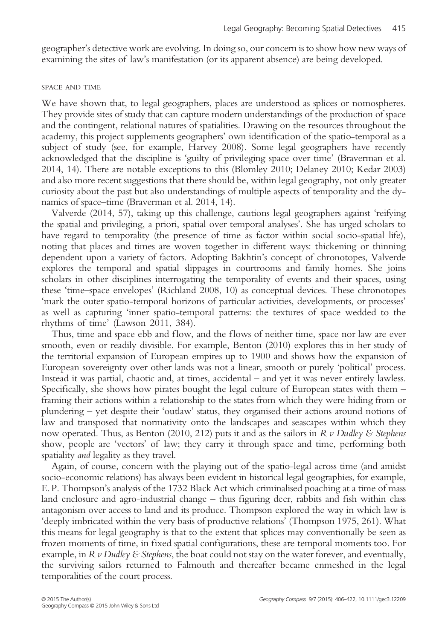geographer's detective work are evolving. In doing so, our concern is to show how new ways of examining the sites of law's manifestation (or its apparent absence) are being developed.

#### SPACE AND TIME

We have shown that, to legal geographers, places are understood as splices or nomospheres. They provide sites of study that can capture modern understandings of the production of space and the contingent, relational natures of spatialities. Drawing on the resources throughout the academy, this project supplements geographers' own identification of the spatio-temporal as a subject of study (see, for example, Harvey 2008). Some legal geographers have recently acknowledged that the discipline is 'guilty of privileging space over time' (Braverman et al. 2014, 14). There are notable exceptions to this (Blomley 2010; Delaney 2010; Kedar 2003) and also more recent suggestions that there should be, within legal geography, not only greater curiosity about the past but also understandings of multiple aspects of temporality and the dynamics of space–time (Braverman et al. 2014, 14).

Valverde (2014, 57), taking up this challenge, cautions legal geographers against 'reifying the spatial and privileging, a priori, spatial over temporal analyses'. She has urged scholars to have regard to temporality (the presence of time as factor within social socio-spatial life), noting that places and times are woven together in different ways: thickening or thinning dependent upon a variety of factors. Adopting Bakhtin's concept of chronotopes, Valverde explores the temporal and spatial slippages in courtrooms and family homes. She joins scholars in other disciplines interrogating the temporality of events and their spaces, using these 'time–space envelopes' (Richland 2008, 10) as conceptual devices. These chronotopes 'mark the outer spatio-temporal horizons of particular activities, developments, or processes' as well as capturing 'inner spatio-temporal patterns: the textures of space wedded to the rhythms of time' (Lawson 2011, 384).

Thus, time and space ebb and flow, and the flows of neither time, space nor law are ever smooth, even or readily divisible. For example, Benton (2010) explores this in her study of the territorial expansion of European empires up to 1900 and shows how the expansion of European sovereignty over other lands was not a linear, smooth or purely 'political' process. Instead it was partial, chaotic and, at times, accidental – and yet it was never entirely lawless. Specifically, she shows how pirates bought the legal culture of European states with them – framing their actions within a relationship to the states from which they were hiding from or plundering – yet despite their 'outlaw' status, they organised their actions around notions of law and transposed that normativity onto the landscapes and seascapes within which they now operated. Thus, as Benton (2010, 212) puts it and as the sailors in R v Dudley & Stephens show, people are 'vectors' of law; they carry it through space and time, performing both spatiality *and* legality as they travel.

Again, of course, concern with the playing out of the spatio-legal across time (and amidst socio-economic relations) has always been evident in historical legal geographies, for example, E. P. Thompson's analysis of the 1732 Black Act which criminalised poaching at a time of mass land enclosure and agro-industrial change – thus figuring deer, rabbits and fish within class antagonism over access to land and its produce. Thompson explored the way in which law is 'deeply imbricated within the very basis of productive relations' (Thompson 1975, 261). What this means for legal geography is that to the extent that splices may conventionally be seen as frozen moments of time, in fixed spatial configurations, these are temporal moments too. For example, in  $R v$  Dudley & Stephens, the boat could not stay on the water forever, and eventually, the surviving sailors returned to Falmouth and thereafter became enmeshed in the legal temporalities of the court process.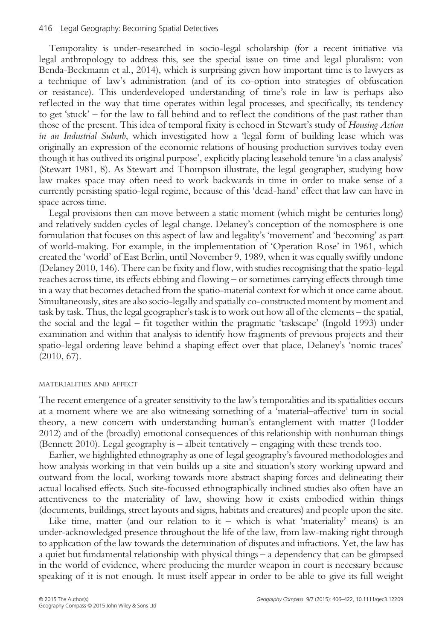Temporality is under-researched in socio-legal scholarship (for a recent initiative via legal anthropology to address this, see the special issue on time and legal pluralism: von Benda-Beckmann et al., 2014), which is surprising given how important time is to lawyers as a technique of law's administration (and of its co-option into strategies of obfuscation or resistance). This underdeveloped understanding of time's role in law is perhaps also ref lected in the way that time operates within legal processes, and specifically, its tendency to get 'stuck' – for the law to fall behind and to ref lect the conditions of the past rather than those of the present. This idea of temporal fixity is echoed in Stewart's study of Housing Action in an Industrial Suburb, which investigated how a 'legal form of building lease which was originally an expression of the economic relations of housing production survives today even though it has outlived its original purpose', explicitly placing leasehold tenure 'in a class analysis' (Stewart 1981, 8). As Stewart and Thompson illustrate, the legal geographer, studying how law makes space may often need to work backwards in time in order to make sense of a currently persisting spatio-legal regime, because of this 'dead-hand' effect that law can have in space across time.

Legal provisions then can move between a static moment (which might be centuries long) and relatively sudden cycles of legal change. Delaney's conception of the nomosphere is one formulation that focuses on this aspect of law and legality's 'movement' and 'becoming' as part of world-making. For example, in the implementation of 'Operation Rose' in 1961, which created the 'world' of East Berlin, until November 9, 1989, when it was equally swiftly undone (Delaney 2010, 146). There can be fixity and flow, with studies recognising that the spatio-legal reaches across time, its effects ebbing and flowing – or sometimes carrying effects through time in a way that becomes detached from the spatio-material context for which it once came about. Simultaneously, sites are also socio-legally and spatially co-constructed moment by moment and task by task. Thus, the legal geographer's task is to work out how all of the elements – the spatial, the social and the legal – fit together within the pragmatic 'taskscape' (Ingold 1993) under examination and within that analysis to identify how fragments of previous projects and their spatio-legal ordering leave behind a shaping effect over that place, Delaney's 'nomic traces' (2010, 67).

#### MATERIALITIES AND AFFECT

The recent emergence of a greater sensitivity to the law's temporalities and its spatialities occurs at a moment where we are also witnessing something of a 'material–affective' turn in social theory, a new concern with understanding human's entanglement with matter (Hodder 2012) and of the (broadly) emotional consequences of this relationship with nonhuman things (Bennett 2010). Legal geography is – albeit tentatively – engaging with these trends too.

Earlier, we highlighted ethnography as one of legal geography's favoured methodologies and how analysis working in that vein builds up a site and situation's story working upward and outward from the local, working towards more abstract shaping forces and delineating their actual localised effects. Such site-focussed ethnographically inclined studies also often have an attentiveness to the materiality of law, showing how it exists embodied within things (documents, buildings, street layouts and signs, habitats and creatures) and people upon the site.

Like time, matter (and our relation to it – which is what 'materiality' means) is an under-acknowledged presence throughout the life of the law, from law-making right through to application of the law towards the determination of disputes and infractions. Yet, the law has a quiet but fundamental relationship with physical things – a dependency that can be glimpsed in the world of evidence, where producing the murder weapon in court is necessary because speaking of it is not enough. It must itself appear in order to be able to give its full weight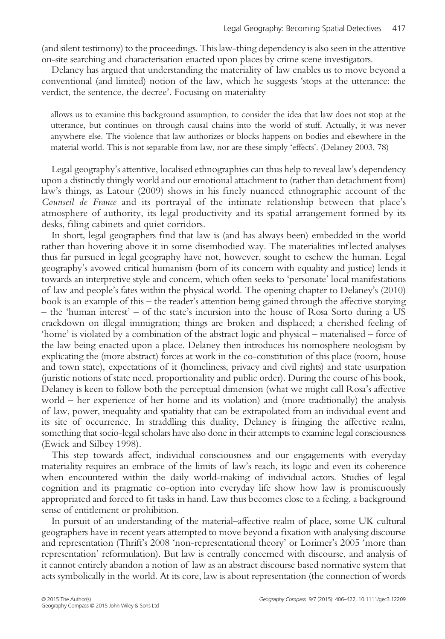(and silent testimony) to the proceedings. This law-thing dependency is also seen in the attentive on-site searching and characterisation enacted upon places by crime scene investigators.

Delaney has argued that understanding the materiality of law enables us to move beyond a conventional (and limited) notion of the law, which he suggests 'stops at the utterance: the verdict, the sentence, the decree'. Focusing on materiality

allows us to examine this background assumption, to consider the idea that law does not stop at the utterance, but continues on through causal chains into the world of stuff. Actually, it was never anywhere else. The violence that law authorizes or blocks happens on bodies and elsewhere in the material world. This is not separable from law, nor are these simply 'effects'. (Delaney 2003, 78)

Legal geography's attentive, localised ethnographies can thus help to reveal law's dependency upon a distinctly thingly world and our emotional attachment to (rather than detachment from) law's things, as Latour (2009) shows in his finely nuanced ethnographic account of the Counseil de France and its portrayal of the intimate relationship between that place's atmosphere of authority, its legal productivity and its spatial arrangement formed by its desks, filing cabinets and quiet corridors.

In short, legal geographers find that law is (and has always been) embedded in the world rather than hovering above it in some disembodied way. The materialities inflected analyses thus far pursued in legal geography have not, however, sought to eschew the human. Legal geography's avowed critical humanism (born of its concern with equality and justice) lends it towards an interpretive style and concern, which often seeks to 'personate' local manifestations of law and people's fates within the physical world. The opening chapter to Delaney's (2010) book is an example of this – the reader's attention being gained through the affective storying – the 'human interest' – of the state's incursion into the house of Rosa Sorto during a US crackdown on illegal immigration; things are broken and displaced; a cherished feeling of 'home' is violated by a combination of the abstract logic and physical – materialised – force of the law being enacted upon a place. Delaney then introduces his nomosphere neologism by explicating the (more abstract) forces at work in the co-constitution of this place (room, house and town state), expectations of it (homeliness, privacy and civil rights) and state usurpation (juristic notions of state need, proportionality and public order). During the course of his book, Delaney is keen to follow both the perceptual dimension (what we might call Rosa's affective world – her experience of her home and its violation) and (more traditionally) the analysis of law, power, inequality and spatiality that can be extrapolated from an individual event and its site of occurrence. In straddling this duality, Delaney is fringing the affective realm, something that socio-legal scholars have also done in their attempts to examine legal consciousness (Ewick and Silbey 1998).

This step towards affect, individual consciousness and our engagements with everyday materiality requires an embrace of the limits of law's reach, its logic and even its coherence when encountered within the daily world-making of individual actors. Studies of legal cognition and its pragmatic co-option into everyday life show how law is promiscuously appropriated and forced to fit tasks in hand. Law thus becomes close to a feeling, a background sense of entitlement or prohibition.

In pursuit of an understanding of the material–affective realm of place, some UK cultural geographers have in recent years attempted to move beyond a fixation with analysing discourse and representation (Thrift's 2008 'non-representational theory' or Lorimer's 2005 'more than representation' reformulation). But law is centrally concerned with discourse, and analysis of it cannot entirely abandon a notion of law as an abstract discourse based normative system that acts symbolically in the world. At its core, law is about representation (the connection of words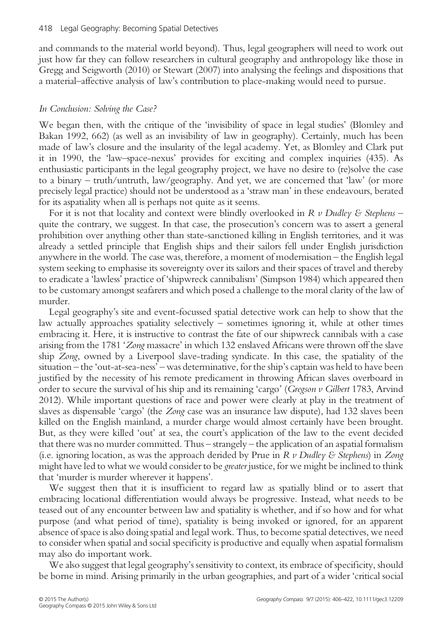and commands to the material world beyond). Thus, legal geographers will need to work out just how far they can follow researchers in cultural geography and anthropology like those in Gregg and Seigworth (2010) or Stewart (2007) into analysing the feelings and dispositions that a material–affective analysis of law's contribution to place-making would need to pursue.

## In Conclusion: Solving the Case?

We began then, with the critique of the 'invisibility of space in legal studies' (Blomley and Bakan 1992, 662) (as well as an invisibility of law in geography). Certainly, much has been made of law's closure and the insularity of the legal academy. Yet, as Blomley and Clark put it in 1990, the 'law–space-nexus' provides for exciting and complex inquiries (435). As enthusiastic participants in the legal geography project, we have no desire to (re)solve the case to a binary – truth/untruth, law/geography. And yet, we are concerned that 'law' (or more precisely legal practice) should not be understood as a 'straw man' in these endeavours, berated for its aspatiality when all is perhaps not quite as it seems.

For it is not that locality and context were blindly overlooked in R  $\nu$  Dudley & Stephens – quite the contrary, we suggest. In that case, the prosecution's concern was to assert a general prohibition over anything other than state-sanctioned killing in English territories, and it was already a settled principle that English ships and their sailors fell under English jurisdiction anywhere in the world. The case was, therefore, a moment of modernisation – the English legal system seeking to emphasise its sovereignty over its sailors and their spaces of travel and thereby to eradicate a 'lawless' practice of 'shipwreck cannibalism' (Simpson 1984) which appeared then to be customary amongst seafarers and which posed a challenge to the moral clarity of the law of murder.

Legal geography's site and event-focussed spatial detective work can help to show that the law actually approaches spatiality selectively – sometimes ignoring it, while at other times embracing it. Here, it is instructive to contrast the fate of our shipwreck cannibals with a case arising from the 1781 'Zong massacre' in which 132 enslaved Africans were thrown off the slave ship Zong, owned by a Liverpool slave-trading syndicate. In this case, the spatiality of the situation – the 'out-at-sea-ness' – was determinative, for the ship's captain was held to have been justified by the necessity of his remote predicament in throwing African slaves overboard in order to secure the survival of his ship and its remaining 'cargo' (Gregson v Gilbert 1783, Arvind 2012). While important questions of race and power were clearly at play in the treatment of slaves as dispensable 'cargo' (the Zong case was an insurance law dispute), had 132 slaves been killed on the English mainland, a murder charge would almost certainly have been brought. But, as they were killed 'out' at sea, the court's application of the law to the event decided that there was no murder committed. Thus – strangely – the application of an aspatial formalism (i.e. ignoring location, as was the approach derided by Prue in  $R \nu$  Dudley & Stephens) in Zong might have led to what we would consider to be *greater* justice, for we might be inclined to think that 'murder is murder wherever it happens'.

We suggest then that it is insufficient to regard law as spatially blind or to assert that embracing locational differentiation would always be progressive. Instead, what needs to be teased out of any encounter between law and spatiality is whether, and if so how and for what purpose (and what period of time), spatiality is being invoked or ignored, for an apparent absence of space is also doing spatial and legal work. Thus, to become spatial detectives, we need to consider when spatial and social specificity is productive and equally when aspatial formalism may also do important work.

We also suggest that legal geography's sensitivity to context, its embrace of specificity, should be borne in mind. Arising primarily in the urban geographies, and part of a wider 'critical social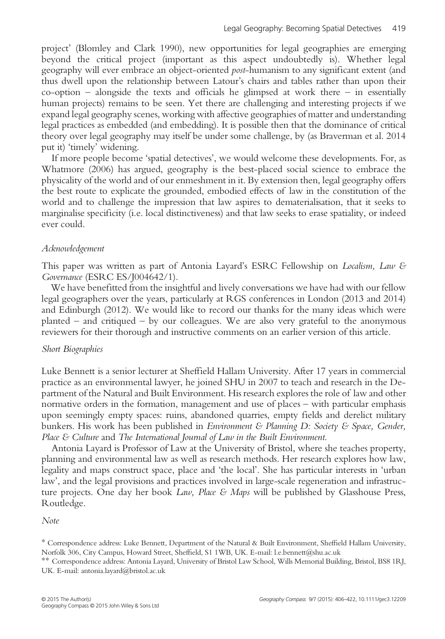project' (Blomley and Clark 1990), new opportunities for legal geographies are emerging beyond the critical project (important as this aspect undoubtedly is). Whether legal geography will ever embrace an object-oriented post-humanism to any significant extent (and thus dwell upon the relationship between Latour's chairs and tables rather than upon their  $co$ -option – alongside the texts and officials he glimpsed at work there – in essentially human projects) remains to be seen. Yet there are challenging and interesting projects if we expand legal geography scenes, working with affective geographies of matter and understanding legal practices as embedded (and embedding). It is possible then that the dominance of critical theory over legal geography may itself be under some challenge, by (as Braverman et al. 2014 put it) 'timely' widening.

If more people become 'spatial detectives', we would welcome these developments. For, as Whatmore (2006) has argued, geography is the best-placed social science to embrace the physicality of the world and of our enmeshment in it. By extension then, legal geography offers the best route to explicate the grounded, embodied effects of law in the constitution of the world and to challenge the impression that law aspires to dematerialisation, that it seeks to marginalise specificity (i.e. local distinctiveness) and that law seeks to erase spatiality, or indeed ever could.

#### Acknowledgement

This paper was written as part of Antonia Layard's ESRC Fellowship on Localism, Law & Governance (ESRC ES/J004642/1).

We have benefitted from the insightful and lively conversations we have had with our fellow legal geographers over the years, particularly at RGS conferences in London (2013 and 2014) and Edinburgh (2012). We would like to record our thanks for the many ideas which were planted – and critiqued – by our colleagues. We are also very grateful to the anonymous reviewers for their thorough and instructive comments on an earlier version of this article.

#### Short Biographies

Luke Bennett is a senior lecturer at Sheffield Hallam University. After 17 years in commercial practice as an environmental lawyer, he joined SHU in 2007 to teach and research in the Department of the Natural and Built Environment. His research explores the role of law and other normative orders in the formation, management and use of places – with particular emphasis upon seemingly empty spaces: ruins, abandoned quarries, empty fields and derelict military bunkers. His work has been published in Environment & Planning D: Society & Space, Gender, Place & Culture and The International Journal of Law in the Built Environment.

Antonia Layard is Professor of Law at the University of Bristol, where she teaches property, planning and environmental law as well as research methods. Her research explores how law, legality and maps construct space, place and 'the local'. She has particular interests in 'urban law', and the legal provisions and practices involved in large-scale regeneration and infrastructure projects. One day her book *Law, Place & Maps* will be published by Glasshouse Press, Routledge.

#### Note

<sup>\*</sup> Correspondence address: Luke Bennett, Department of the Natural & Built Environment, Sheffield Hallam University, Norfolk 306, City Campus, Howard Street, Sheffield, S1 1WB, UK. E-mail: l.e.bennett@shu.ac.uk

<sup>\*\*</sup> Correspondence address: Antonia Layard, University of Bristol Law School, Wills Memorial Building, Bristol, BS8 1RJ, UK. E-mail: antonia.layard@bristol.ac.uk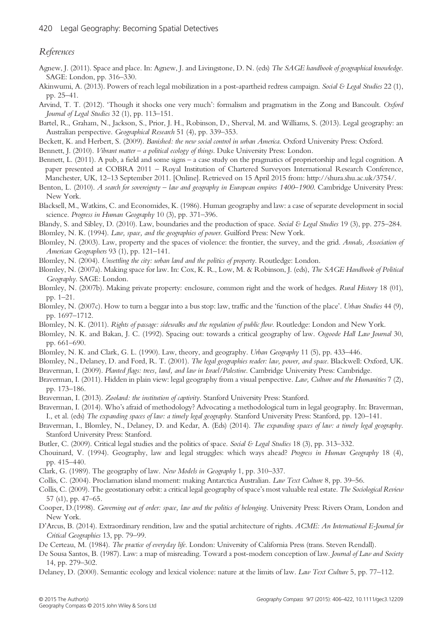#### References

- Agnew, J. (2011). Space and place. In: Agnew, J. and Livingstone, D. N. (eds) The SAGE handbook of geographical knowledge. SAGE: London, pp. 316–330.
- Akinwumi, A. (2013). Powers of reach legal mobilization in a post-apartheid redress campaign. Social & Legal Studies 22 (1), pp. 25–41.
- Arvind, T. T. (2012). 'Though it shocks one very much': formalism and pragmatism in the Zong and Bancoult. Oxford Journal of Legal Studies 32 (1), pp. 113–151.
- Bartel, R., Graham, N., Jackson, S., Prior, J. H., Robinson, D., Sherval, M. and Williams, S. (2013). Legal geography: an Australian perspective. Geographical Research 51 (4), pp. 339–353.
- Beckett, K. and Herbert, S. (2009). Banished: the new social control in urban America. Oxford University Press: Oxford.

Bennett, J. (2010). *Vibrant matter – a political ecology of things*. Duke University Press: London.

- Bennett, L. (2011). A pub, a field and some signs a case study on the pragmatics of proprietorship and legal cognition. A paper presented at COBRA 2011 – Royal Institution of Chartered Surveyors International Research Conference, Manchester, UK, 12–13 September 2011. [Online]. Retrieved on 15 April 2015 from: [http://shura.shu.ac.uk/3754/.](http://shura.shu.ac.uk/3754/)
- Benton, L. (2010). A search for sovereignty law and geography in European empires 1400–1900. Cambridge University Press: New York.
- Blacksell, M., Watkins, C. and Economides, K. (1986). Human geography and law: a case of separate development in social science. Progress in Human Geography 10 (3), pp. 371–396.
- Blandy, S. and Sibley, D. (2010). Law, boundaries and the production of space. Social & Legal Studies 19 (3), pp. 275–284.

Blomley, N. K. (1994). Law, space, and the geographies of power. Guilford Press: New York.

Blomley, N. (2003). Law, property and the spaces of violence: the frontier, the survey, and the grid. Annals, Association of American Geographers 93 (1), pp. 121–141.

Blomley, N. (2004). Unsettling the city: urban land and the politics of property. Routledge: London.

- Blomley, N. (2007a). Making space for law. In: Cox, K. R., Low, M. & Robinson, J. (eds), The SAGE Handbook of Political Geography. SAGE: London.
- Blomley, N. (2007b). Making private property: enclosure, common right and the work of hedges. Rural History 18 (01), pp. 1–21.
- Blomley, N. (2007c). How to turn a beggar into a bus stop: law, traffic and the 'function of the place'. Urban Studies 44 (9), pp. 1697–1712.
- Blomley, N. K. (2011). Rights of passage: sidewalks and the regulation of public flow. Routledge: London and New York.
- Blomley, N. K. and Bakan, J. C. (1992). Spacing out: towards a critical geography of law. Osgoode Hall Law Journal 30, pp. 661–690.
- Blomley, N. K. and Clark, G. L. (1990). Law, theory, and geography. Urban Geography 11 (5), pp. 433–446.

Blomley, N., Delaney, D. and Ford, R. T. (2001). The legal geographies reader: law, power, and space. Blackwell: Oxford, UK.

- Braverman, I. (2009). Planted flags: trees, land, and law in Israel/Palestine. Cambridge University Press: Cambridge.
- Braverman, I. (2011). Hidden in plain view: legal geography from a visual perspective. Law, Culture and the Humanities 7 (2), pp. 173–186.
- Braverman, I. (2013). Zooland: the institution of captivity. Stanford University Press: Stanford.
- Braverman, I. (2014). Who's afraid of methodology? Advocating a methodological turn in legal geography. In: Braverman, I., et al. (eds) The expanding spaces of law: a timely legal geography. Stanford University Press: Stanford, pp. 120–141.
- Braverman, I., Blomley, N., Delaney, D. and Kedar, A. (Eds) (2014). The expanding spaces of law: a timely legal geography. Stanford University Press: Stanford.
- Butler, C. (2009). Critical legal studies and the politics of space. Social & Legal Studies 18 (3), pp. 313–332.
- Chouinard, V. (1994). Geography, law and legal struggles: which ways ahead? Progress in Human Geography 18 (4), pp. 415–440.
- Clark, G. (1989). The geography of law. New Models in Geography 1, pp. 310–337.
- Collis, C. (2004). Proclamation island moment: making Antarctica Australian. Law Text Culture 8, pp. 39–56.
- Collis, C. (2009). The geostationary orbit: a critical legal geography of space's most valuable real estate. The Sociological Review 57 (s1), pp. 47–65.
- Cooper, D.(1998). Governing out of order: space, law and the politics of belonging. University Press: Rivers Oram, London and New York.
- D'Arcus, B. (2014). Extraordinary rendition, law and the spatial architecture of rights. ACME: An International E-Journal for Critical Geographies 13, pp. 79–99.
- De Certeau, M. (1984). The practice of everyday life. London: University of California Press (trans. Steven Rendall).
- De Sousa Santos, B. (1987). Law: a map of misreading. Toward a post-modern conception of law. Journal of Law and Society 14, pp. 279–302.
- Delaney, D. (2000). Semantic ecology and lexical violence: nature at the limits of law. Law Text Culture 5, pp. 77–112.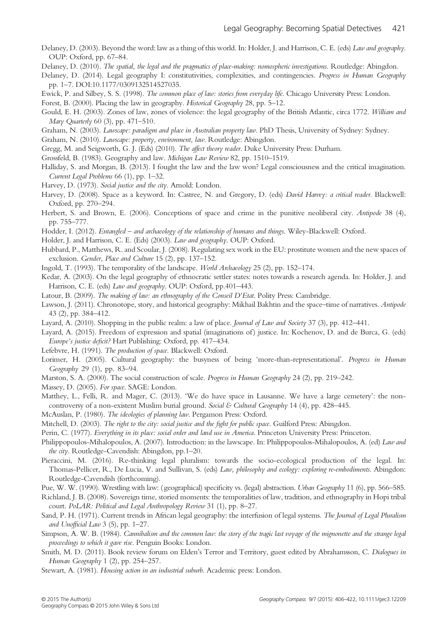Delaney, D. (2003). Beyond the word: law as a thing of this world. In: Holder, J. and Harrison, C. E. (eds) Law and geography. OUP: Oxford, pp. 67–84.

Delaney, D. (2010). The spatial, the legal and the pragmatics of place-making: nomospheric investigations. Routledge: Abingdon.

Delaney, D. (2014). Legal geography I: constitutivities, complexities, and contingencies. Progress in Human Geography pp. 1–7. DOI:10.1177/0309132514527035.

Ewick, P. and Silbey, S. S. (1998). The common place of law: stories from everyday life. Chicago University Press: London.

Forest, B. (2000). Placing the law in geography. Historical Geography 28, pp. 5–12.

- Gould, E. H. (2003). Zones of law, zones of violence: the legal geography of the British Atlantic, circa 1772. William and Mary Quarterly  $60$  (3), pp. 471–510.
- Graham, N. (2003). Lawscape: paradigm and place in Australian property law. PhD Thesis, University of Sydney: Sydney.
- Graham, N. (2010). Lawscape: property, environment, law. Routledge: Abingdon.

Gregg, M. and Seigworth, G. J. (Eds) (2010). The affect theory reader. Duke University Press: Durham.

- Grossfeld, B. (1983). Geography and law. Michigan Law Review 82, pp. 1510–1519.
- Halliday, S. and Morgan, B. (2013). I fought the law and the law won? Legal consciousness and the critical imagination. Current Legal Problems 66 (1), pp. 1–32.
- Harvey, D. (1973). Social justice and the city. Arnold: London.
- Harvey, D. (2008). Space as a keyword. In: Castree, N. and Gregory, D. (eds) David Harvey: a critical reader. Blackwell: Oxford, pp. 270–294.
- Herbert, S. and Brown, E. (2006). Conceptions of space and crime in the punitive neoliberal city. Antipode 38 (4), pp. 755–777.
- Hodder, I. (2012). Entangled and archaeology of the relationship of humans and things. Wiley-Blackwell: Oxford.

Holder, J. and Harrison, C. E. (Eds) (2003). Law and geography. OUP: Oxford.

- Hubbard, P., Matthews, R. and Scoular, J. (2008). Regulating sex work in the EU: prostitute women and the new spaces of exclusion. Gender, Place and Culture 15 (2), pp. 137–152.
- Ingold, T. (1993). The temporality of the landscape. World Archaeology 25 (2), pp. 152–174.
- Kedar, A. (2003). On the legal geography of ethnocratic settler states: notes towards a research agenda. In: Holder, J. and Harrison, C. E. (eds) Law and geography. OUP: Oxford, pp.401–443.
- Latour, B. (2009). The making of law: an ethnography of the Conseil D'Etat. Polity Press: Cambridge.
- Lawson, J. (2011). Chronotope, story, and historical geography: Mikhail Bakhtin and the space–time of narratives. Antipode 43 (2), pp. 384–412.
- Layard, A. (2010). Shopping in the public realm: a law of place. Journal of Law and Society 37 (3), pp. 412–441.
- Layard, A. (2015). Freedom of expression and spatial (imaginations of) justice. In: Kochenov, D. and de Burca, G. (eds) Europe's justice deficit? Hart Publishing: Oxford, pp. 417–434.
- Lefebvre, H. (1991). The production of space. Blackwell: Oxford.
- Lorimer, H. (2005). Cultural geography: the busyness of being 'more-than-representational'. Progress in Human Geography 29 (1), pp. 83–94.
- Marston, S. A. (2000). The social construction of scale. Progress in Human Geography 24 (2), pp. 219–242.
- Massey, D. (2005). For space. SAGE: London.
- Matthey, L., Felli, R. and Mager, C. (2013). 'We do have space in Lausanne. We have a large cemetery': the noncontroversy of a non-existent Muslim burial ground. Social & Cultural Geography 14 (4), pp. 428-445.
- McAuslan, P. (1980). The ideologies of planning law. Pergamon Press: Oxford.
- Mitchell, D. (2003). The right to the city: social justice and the fight for public space. Guilford Press: Abingdon.

Perin, C. (1977). Everything in its place: social order and land use in America. Princeton University Press: Princeton.

Philippopoulos-Mihalopoulos, A. (2007). Introduction: in the lawscape. In: Philippopoulos-Mihalopoulos, A. (ed) Law and the city. Routledge-Cavendish: Abingdon, pp.1–20.

Pieraccini, M. (2016). Re-thinking legal pluralism: towards the socio-ecological production of the legal. In: Thomas-Pellicer, R., De Lucia, V. and Sullivan, S. (eds) Law, philosophy and ecology: exploring re-embodiments. Abingdon: Routledge-Cavendish (forthcoming).

Pue, W. W. (1990). Wrestling with law: ( geographical) specificity vs. (legal) abstraction. Urban Geography 11 (6), pp. 566–585.

Richland, J. B. (2008). Sovereign time, storied moments: the temporalities of law, tradition, and ethnography in Hopi tribal court. PoLAR: Political and Legal Anthropology Review 31 (1), pp. 8–27.

- Sand, P. H. (1971). Current trends in African legal geography: the interfusion of legal systems. The Journal of Legal Pluralism and Unofficial Law  $3$  (5), pp. 1–27.
- Simpson, A. W. B. (1984). Cannibalism and the common law: the story of the tragic last voyage of the mignonette and the strange legal proceedings to which it gave rise. Penguin Books: London.
- Smith, M. D. (2011). Book review forum on Elden's Terror and Territory, guest edited by Abrahamsson, C. Dialogues in Human Geography 1 (2), pp. 254–257.

Stewart, A. (1981). Housing action in an industrial suburb. Academic press: London.